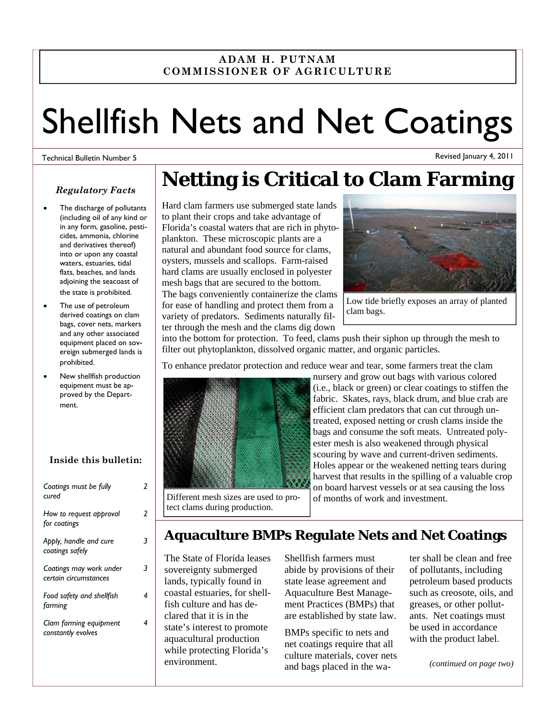## **ADAM H. PUTNAM COMMISSIONER OF AGRICULTURE**

# Shellfish Nets and Net Coatings

#### Technical Bulletin Number 5

Revised January 4, 2011

## *Regulatory Facts*

- The discharge of pollutants (including oil of any kind or in any form, gasoline, pesticides, ammonia, chlorine and derivatives thereof) into or upon any coastal waters, estuaries, tidal flats, beaches, and lands adjoining the seacoast of the state is prohibited.
- The use of petroleum derived coatings on clam bags, cover nets, markers and any other associated equipment placed on sovereign submerged lands is prohibited.
- New shellfish production equipment must be approved by the Department.

## **Inside this bulletin:**

| Coatings must be fully<br>cured                  |   |
|--------------------------------------------------|---|
| How to request approval<br>for coatings          | 2 |
| Apply, handle and cure<br>coatings safely        |   |
| Coatings may work under<br>certain circumstances | 3 |
| Food safety and shellfish<br>farming             | 4 |
| Clam farming equipment<br>constantly evolves     | 4 |

# **Netting is Critical to Clam Farming**

### Hard clam farmers use submerged state lands to plant their crops and take advantage of Florida's coastal waters that are rich in phytoplankton. These microscopic plants are a natural and abundant food source for clams, oysters, mussels and scallops. Farm-raised hard clams are usually enclosed in polyester mesh bags that are secured to the bottom. The bags conveniently containerize the clams for ease of handling and protect them from a variety of predators. Sediments naturally filter through the mesh and the clams dig down



Low tide briefly exposes an array of planted clam bags.

into the bottom for protection. To feed, clams push their siphon up through the mesh to filter out phytoplankton, dissolved organic matter, and organic particles.

To enhance predator protection and reduce wear and tear, some farmers treat the clam



nursery and grow out bags with various colored (i.e., black or green) or clear coatings to stiffen the fabric. Skates, rays, black drum, and blue crab are efficient clam predators that can cut through untreated, exposed netting or crush clams inside the bags and consume the soft meats. Untreated polyester mesh is also weakened through physical scouring by wave and current-driven sediments. Holes appear or the weakened netting tears during harvest that results in the spilling of a valuable crop on board harvest vessels or at sea causing the loss of months of work and investment.

Different mesh sizes are used to protect clams during production.

## **Aquaculture BMPs Regulate Nets and Net Coatings**

The State of Florida leases sovereignty submerged lands, typically found in coastal estuaries, for shellfish culture and has declared that it is in the state's interest to promote aquacultural production while protecting Florida's environment.

Shellfish farmers must abide by provisions of their state lease agreement and Aquaculture Best Management Practices (BMPs) that are established by state law.

BMPs specific to nets and net coatings require that all culture materials, cover nets and bags placed in the water shall be clean and free of pollutants, including petroleum based products such as creosote, oils, and greases, or other pollutants. Net coatings must be used in accordance with the product label.

*(continued on page two)*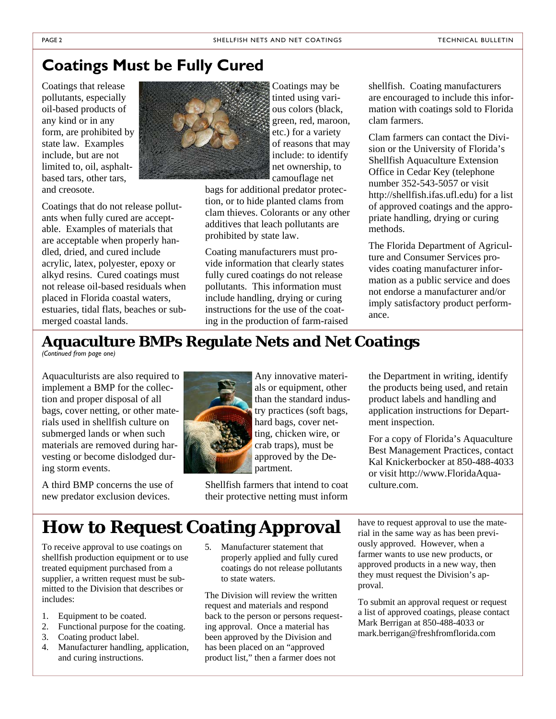# **Coatings Must be Fully Cured**

Coatings that release pollutants, especially oil-based products of any kind or in any form, are prohibited by state law. Examples include, but are not limited to, oil, asphaltbased tars, other tars, and creosote.

Coatings that do not release pollutants when fully cured are acceptable. Examples of materials that are acceptable when properly handled, dried, and cured include acrylic, latex, polyester, epoxy or alkyd resins. Cured coatings must not release oil-based residuals when placed in Florida coastal waters, estuaries, tidal flats, beaches or submerged coastal lands.



Coatings may be tinted using various colors (black, green, red, maroon, etc.) for a variety of reasons that may include: to identify net ownership, to camouflage net

bags for additional predator protection, or to hide planted clams from clam thieves. Colorants or any other additives that leach pollutants are prohibited by state law.

Coating manufacturers must provide information that clearly states fully cured coatings do not release pollutants. This information must include handling, drying or curing instructions for the use of the coating in the production of farm-raised shellfish. Coating manufacturers are encouraged to include this information with coatings sold to Florida clam farmers.

Clam farmers can contact the Division or the University of Florida's Shellfish Aquaculture Extension Office in Cedar Key (telephone number 352-543-5057 or visit http://shellfish.ifas.ufl.edu) for a list of approved coatings and the appropriate handling, drying or curing methods.

The Florida Department of Agriculture and Consumer Services provides coating manufacturer information as a public service and does not endorse a manufacturer and/or imply satisfactory product performance.

# **Aquaculture BMPs Regulate Nets and Net Coatings**

*(Continued from page one)* 

Aquaculturists are also required to implement a BMP for the collection and proper disposal of all bags, cover netting, or other materials used in shellfish culture on submerged lands or when such materials are removed during harvesting or become dislodged during storm events.

A third BMP concerns the use of new predator exclusion devices.



Any innovative materials or equipment, other than the standard industry practices (soft bags, hard bags, cover netting, chicken wire, or crab traps), must be approved by the Department.

Shellfish farmers that intend to coat their protective netting must inform the Department in writing, identify the products being used, and retain product labels and handling and application instructions for Department inspection.

For a copy of Florida's Aquaculture Best Management Practices, contact Kal Knickerbocker at 850-488-4033 or visit http://www.FloridaAquaculture.com.

# **How to Request Coating Approval**

To receive approval to use coatings on shellfish production equipment or to use treated equipment purchased from a supplier, a written request must be submitted to the Division that describes or includes:

- 1. Equipment to be coated.
- 2. Functional purpose for the coating.
- 3. Coating product label.
- 4. Manufacturer handling, application, and curing instructions.
- 5. Manufacturer statement that properly applied and fully cured coatings do not release pollutants to state waters.

The Division will review the written request and materials and respond back to the person or persons requesting approval. Once a material has been approved by the Division and has been placed on an "approved product list," then a farmer does not

have to request approval to use the material in the same way as has been previously approved. However, when a farmer wants to use new products, or approved products in a new way, then they must request the Division's approval.

To submit an approval request or request a list of approved coatings, please contact Mark Berrigan at 850-488-4033 or mark.berrigan@freshfromflorida.com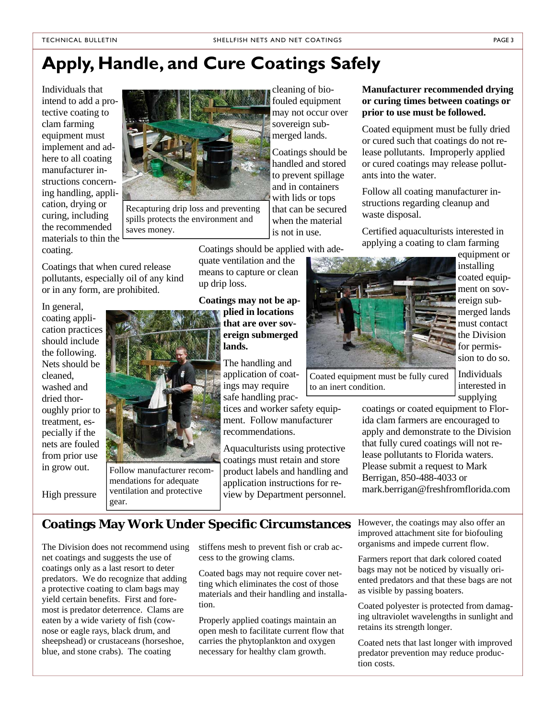# **Apply, Handle, and Cure Coatings Safely**

Individuals that intend to add a protective coating to clam farming equipment must implement and adhere to all coating manufacturer instructions concerning handling, application, drying or curing, including the recommended materials to thin the coating.



Recapturing drip loss and preventing spills protects the environment and saves money.

Coatings that when cured release pollutants, especially oil of any kind or in any form, are prohibited.

In general, coating application practices should include the following. Nets should be cleaned, washed and dried thoroughly prior to treatment, especially if the nets are fouled from prior use in grow out.

High pressure



Follow manufacturer recommendations for adequate ventilation and protective gear.

cleaning of biofouled equipment may not occur over sovereign submerged lands.

Coatings should be handled and stored to prevent spillage and in containers with lids or tops that can be secured when the material is not in use.

Coatings should be applied with ade-

quate ventilation and the means to capture or clean up drip loss.

**Coatings may not be applied in locations that are over sovereign submerged lands.**

> The handling and application of coatings may require safe handling prac-

tices and worker safety equipment. Follow manufacturer recommendations.

Aquaculturists using protective coatings must retain and store product labels and handling and application instructions for review by Department personnel.

**Manufacturer recommended drying or curing times between coatings or prior to use must be followed.** 

Coated equipment must be fully dried or cured such that coatings do not release pollutants. Improperly applied or cured coatings may release pollutants into the water.

Follow all coating manufacturer instructions regarding cleanup and waste disposal.

Certified aquaculturists interested in applying a coating to clam farming



equipment or installing coated equipment on sovereign submerged lands must contact the Division for permission to do so.

Coated equipment must be fully cured to an inert condition.

Individuals interested in supplying

coatings or coated equipment to Florida clam farmers are encouraged to apply and demonstrate to the Division that fully cured coatings will not release pollutants to Florida waters. Please submit a request to Mark Berrigan, 850-488-4033 or mark.berrigan@freshfromflorida.com

## **Coatings May Work Under Specific Circumstances**

The Division does not recommend using net coatings and suggests the use of coatings only as a last resort to deter predators. We do recognize that adding a protective coating to clam bags may yield certain benefits. First and foremost is predator deterrence. Clams are eaten by a wide variety of fish (cownose or eagle rays, black drum, and sheepshead) or crustaceans (horseshoe, blue, and stone crabs). The coating

stiffens mesh to prevent fish or crab access to the growing clams.

Coated bags may not require cover netting which eliminates the cost of those materials and their handling and installation.

Properly applied coatings maintain an open mesh to facilitate current flow that carries the phytoplankton and oxygen necessary for healthy clam growth.

However, the coatings may also offer an improved attachment site for biofouling organisms and impede current flow.

Farmers report that dark colored coated bags may not be noticed by visually oriented predators and that these bags are not as visible by passing boaters.

Coated polyester is protected from damaging ultraviolet wavelengths in sunlight and retains its strength longer.

Coated nets that last longer with improved predator prevention may reduce production costs.